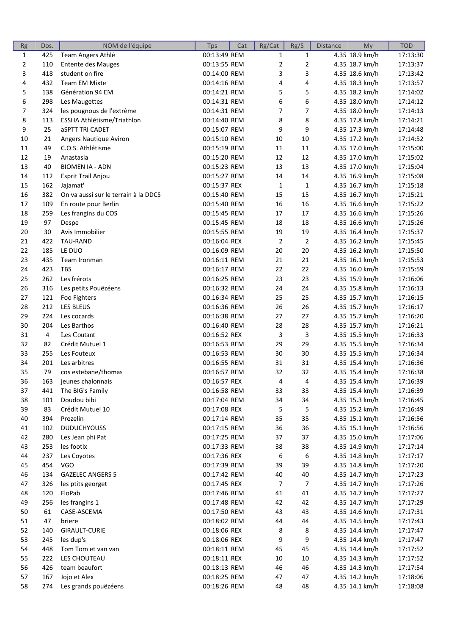| Rg          | Dos. | NOM de l'équipe                      | <b>Tps</b>   | Cat | Rg/Cat         | Rg/S           | <b>Distance</b> | My             | <b>TOD</b> |
|-------------|------|--------------------------------------|--------------|-----|----------------|----------------|-----------------|----------------|------------|
| $\mathbf 1$ | 425  | Team Angers Athlé                    | 00:13:49 REM |     | $\mathbf{1}$   | $\mathbf{1}$   |                 | 4.35 18.9 km/h | 17:13:30   |
| 2           | 110  | <b>Entente des Mauges</b>            | 00:13:55 REM |     | $\overline{2}$ | 2              |                 | 4.35 18.7 km/h | 17:13:37   |
| 3           | 418  | student on fire                      | 00:14:00 REM |     | 3              | 3              |                 | 4.35 18.6 km/h | 17:13:42   |
| 4           | 432  | <b>Team EM Mixte</b>                 | 00:14:16 REM |     | 4              | 4              |                 | 4.35 18.3 km/h | 17:13:57   |
| 5           | 138  | Génération 94 EM                     | 00:14:21 REM |     | 5              | 5              |                 | 4.35 18.2 km/h | 17:14:02   |
| 6           | 298  | Les Maugettes                        | 00:14:31 REM |     | 6              | 6              |                 | 4.35 18.0 km/h | 17:14:12   |
| 7           | 324  | les pougnous de l'extrème            | 00:14:31 REM |     | 7              | $\overline{7}$ |                 | 4.35 18.0 km/h | 17:14:13   |
| 8           | 113  | ESSHA Athlétisme/Triathlon           | 00:14:40 REM |     | 8              | 8              |                 | 4.35 17.8 km/h | 17:14:21   |
| 9           | 25   | <b>aSPTT TRI CADET</b>               | 00:15:07 REM |     | 9              | 9              |                 | 4.35 17.3 km/h | 17:14:48   |
| 10          | 21   | Angers Nautique Aviron               | 00:15:10 REM |     | 10             | 10             |                 | 4.35 17.2 km/h | 17:14:52   |
| 11          | 49   | C.O.S. Athlétisme                    | 00:15:19 REM |     | 11             | 11             |                 | 4.35 17.0 km/h | 17:15:00   |
| 12          | 19   | Anastasia                            | 00:15:20 REM |     | 12             | 12             |                 | 4.35 17.0 km/h | 17:15:02   |
| 13          | 40   | <b>BIOMEN IA - ADN</b>               | 00:15:23 REM |     | 13             | 13             |                 | 4.35 17.0 km/h | 17:15:04   |
| 14          | 112  | Esprit Trail Anjou                   | 00:15:27 REM |     | 14             | 14             |                 | 4.35 16.9 km/h | 17:15:08   |
| 15          | 162  | Jajamat'                             | 00:15:37 REX |     | 1              | $\mathbf{1}$   |                 | 4.35 16.7 km/h | 17:15:18   |
| 16          | 382  | On va aussi sur le terrain à la DDCS | 00:15:40 REM |     | 15             | 15             |                 | 4.35 16.7 km/h | 17:15:21   |
| 17          | 109  | En route pour Berlin                 | 00:15:40 REM |     | 16             | 16             |                 | 4.35 16.6 km/h | 17:15:22   |
| 18          | 259  | Les frangins du COS                  | 00:15:45 REM |     | 17             | 17             |                 | 4.35 16.6 km/h | 17:15:26   |
| 19          | 97   | Despe                                | 00:15:45 REM |     | 18             | 18             |                 | 4.35 16.6 km/h | 17:15:26   |
| 20          | 30   | Avis Immobilier                      | 00:15:55 REM |     | 19             | 19             |                 | 4.35 16.4 km/h | 17:15:37   |
| 21          | 422  | TAU-RAND                             | 00:16:04 REX |     | $\overline{2}$ | $\overline{2}$ |                 | 4.35 16.2 km/h | 17:15:45   |
| 22          | 185  | LE DUO                               | 00:16:09 REM |     | 20             | 20             |                 | 4.35 16.2 km/h | 17:15:50   |
| 23          | 435  | Team Ironman                         | 00:16:11 REM |     | 21             | 21             |                 | 4.35 16.1 km/h | 17:15:53   |
| 24          | 423  | <b>TBS</b>                           | 00:16:17 REM |     | 22             | 22             |                 | 4.35 16.0 km/h | 17:15:59   |
|             | 262  | Les frérots                          |              |     | 23             | 23             |                 |                | 17:16:06   |
| 25          |      |                                      | 00:16:25 REM |     |                | 24             |                 | 4.35 15.9 km/h |            |
| 26          | 316  | Les petits Pouëzéens                 | 00:16:32 REM |     | 24             |                |                 | 4.35 15.8 km/h | 17:16:13   |
| 27          | 121  | Foo Fighters                         | 00:16:34 REM |     | 25             | 25             |                 | 4.35 15.7 km/h | 17:16:15   |
| 28          | 212  | LES BLEUS                            | 00:16:36 REM |     | 26             | 26             |                 | 4.35 15.7 km/h | 17:16:17   |
| 29          | 224  | Les cocards                          | 00:16:38 REM |     | 27             | 27             |                 | 4.35 15.7 km/h | 17:16:20   |
| 30          | 204  | Les Barthos                          | 00:16:40 REM |     | 28             | 28             |                 | 4.35 15.7 km/h | 17:16:21   |
| 31          | 4    | Les Coutant                          | 00:16:52 REX |     | 3              | 3              |                 | 4.35 15.5 km/h | 17:16:33   |
| 32          | 82   | Crédit Mutuel 1                      | 00:16:53 REM |     | 29             | 29             |                 | 4.35 15.5 km/h | 17:16:34   |
| 33          | 255  | Les Fouteux                          | 00:16:53 REM |     | 30             | 30             |                 | 4.35 15.5 km/h | 17:16:34   |
| 34          | 201  | Les arbitres                         | 00:16:55 REM |     | 31             | 31             |                 | 4.35 15.4 km/h | 17:16:36   |
| 35          | 79   | cos estebane/thomas                  | 00:16:57 REM |     | 32             | 32             |                 | 4.35 15.4 km/h | 17:16:38   |
| 36          | 163  | jeunes chalonnais                    | 00:16:57 REX |     | 4              | 4              |                 | 4.35 15.4 km/h | 17:16:39   |
| 37          | 441  | The BIG's Family                     | 00:16:58 REM |     | 33             | 33             |                 | 4.35 15.4 km/h | 17:16:39   |
| 38          | 101  | Doudou bibi                          | 00:17:04 REM |     | 34             | 34             |                 | 4.35 15.3 km/h | 17:16:45   |
| 39          | 83   | Crédit Mutuel 10                     | 00:17:08 REX |     | 5              | 5              |                 | 4.35 15.2 km/h | 17:16:49   |
| 40          | 394  | Prezelin                             | 00:17:14 REM |     | 35             | 35             |                 | 4.35 15.1 km/h | 17:16:56   |
| 41          | 102  | <b>DUDUCHYOUSS</b>                   | 00:17:15 REM |     | 36             | 36             |                 | 4.35 15.1 km/h | 17:16:56   |
| 42          | 280  | Les Jean phi Pat                     | 00:17:25 REM |     | 37             | 37             |                 | 4.35 15.0 km/h | 17:17:06   |
| 43          | 253  | les footix                           | 00:17:33 REM |     | 38             | 38             |                 | 4.35 14.9 km/h | 17:17:14   |
| 44          | 237  | Les Coyotes                          | 00:17:36 REX |     | 6              | 6              |                 | 4.35 14.8 km/h | 17:17:17   |
| 45          | 454  | <b>VGO</b>                           | 00:17:39 REM |     | 39             | 39             |                 | 4.35 14.8 km/h | 17:17:20   |
| 46          | 134  | <b>GAZELEC ANGERS 5</b>              | 00:17:42 REM |     | 40             | 40             |                 | 4.35 14.7 km/h | 17:17:23   |
| 47          | 326  | les ptits georget                    | 00:17:45 REX |     | 7              | 7              |                 | 4.35 14.7 km/h | 17:17:26   |
| 48          | 120  | FloPab                               | 00:17:46 REM |     | 41             | 41             |                 | 4.35 14.7 km/h | 17:17:27   |
| 49          | 256  | les frangins 1                       | 00:17:48 REM |     | 42             | 42             |                 | 4.35 14.7 km/h | 17:17:29   |
| 50          | 61   | CASE-ASCEMA                          | 00:17:50 REM |     | 43             | 43             |                 | 4.35 14.6 km/h | 17:17:31   |
| 51          | 47   | briere                               | 00:18:02 REM |     | 44             | 44             |                 | 4.35 14.5 km/h | 17:17:43   |
| 52          | 140  | GIRAULT-CURIE                        | 00:18:06 REX |     | 8              | 8              |                 | 4.35 14.4 km/h | 17:17:47   |
| 53          | 245  | les dup's                            | 00:18:06 REX |     | 9              | 9              |                 | 4.35 14.4 km/h | 17:17:47   |
| 54          | 448  | Tom Tom et van van                   | 00:18:11 REM |     | 45             | 45             |                 | 4.35 14.4 km/h | 17:17:52   |
| 55          | 222  | LES CHOUTEAU                         | 00:18:11 REX |     | 10             | 10             |                 | 4.35 14.3 km/h | 17:17:52   |
| 56          | 426  | team beaufort                        | 00:18:13 REM |     | 46             | 46             |                 | 4.35 14.3 km/h | 17:17:54   |
| 57          | 167  | Jojo et Alex                         | 00:18:25 REM |     | 47             | 47             |                 | 4.35 14.2 km/h | 17:18:06   |
| 58          | 274  | Les grands pouëzéens                 | 00:18:26 REM |     | 48             | 48             |                 | 4.35 14.1 km/h | 17:18:08   |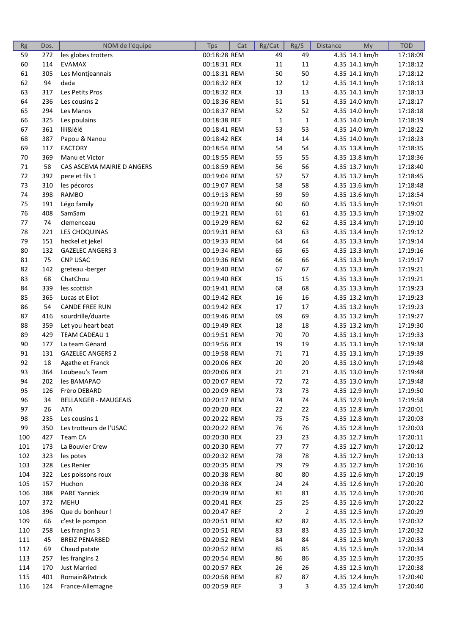| Rg       | Dos.       | NOM de l'équipe                            | <b>Tps</b>                   | Cat | Rg/Cat         | Rg/S        | <b>Distance</b> | My                               | <b>TOD</b>           |
|----------|------------|--------------------------------------------|------------------------------|-----|----------------|-------------|-----------------|----------------------------------|----------------------|
| 59       | 272        | les globes trotters                        | 00:18:28 REM                 |     | 49             | 49          |                 | 4.35 14.1 km/h                   | 17:18:09             |
| 60       | 114        | <b>EVAMAX</b>                              | 00:18:31 REX                 |     | 11             | $11\,$      |                 | 4.35 14.1 km/h                   | 17:18:12             |
| 61       | 305        | Les Montjeannais                           | 00:18:31 REM                 |     | 50             | 50          |                 | 4.35 14.1 km/h                   | 17:18:12             |
| 62       | 94         | dada                                       | 00:18:32 REX                 |     | 12             | 12          |                 | 4.35 14.1 km/h                   | 17:18:13             |
| 63       | 317        | Les Petits Pros                            | 00:18:32 REX                 |     | 13             | 13          |                 | 4.35 14.1 km/h                   | 17:18:13             |
| 64       | 236        | Les cousins 2                              | 00:18:36 REM                 |     | 51             | 51          |                 | 4.35 14.0 km/h                   | 17:18:17             |
| 65       | 294        | Les Manos                                  | 00:18:37 REM                 |     | 52             | 52          |                 | 4.35 14.0 km/h                   | 17:18:18             |
| 66       | 325        | Les poulains                               | 00:18:38 REF                 |     | $\mathbf{1}$   | $\mathbf 1$ |                 | 4.35 14.0 km/h                   | 17:18:19             |
| 67       | 361        | lili&lélé                                  | 00:18:41 REM                 |     | 53             | 53          |                 | 4.35 14.0 km/h                   | 17:18:22             |
| 68       | 387        | Papou & Nanou                              | 00:18:42 REX                 |     | 14             | 14          |                 | 4.35 14.0 km/h                   | 17:18:23             |
| 69       | 117        | <b>FACTORY</b>                             | 00:18:54 REM                 |     | 54             | 54          |                 | 4.35 13.8 km/h                   | 17:18:35             |
| 70       | 369        | Manu et Victor                             | 00:18:55 REM                 |     | 55             | 55          |                 | 4.35 13.8 km/h                   | 17:18:36             |
| 71       | 58         | CAS ASCEMA MAIRIE D ANGERS                 | 00:18:59 REM                 |     | 56             | 56          |                 | 4.35 13.7 km/h                   | 17:18:40             |
| 72       | 392        | pere et fils 1                             | 00:19:04 REM                 |     | 57             | 57          |                 | 4.35 13.7 km/h                   | 17:18:45             |
| 73       | 310        | les pécoros                                | 00:19:07 REM                 |     | 58             | 58          |                 | 4.35 13.6 km/h                   | 17:18:48             |
| 74       | 398        | RAMBO                                      | 00:19:13 REM                 |     | 59             | 59          |                 | 4.35 13.6 km/h                   | 17:18:54             |
| 75       | 191        | Légo family                                | 00:19:20 REM                 |     | 60             | 60          |                 | 4.35 13.5 km/h                   | 17:19:01             |
| 76       | 408        | SamSam                                     | 00:19:21 REM                 |     | 61             | 61          |                 | 4.35 13.5 km/h                   | 17:19:02             |
| 77       | 74         | clemenceau                                 | 00:19:29 REM                 |     | 62             | 62          |                 | 4.35 13.4 km/h                   | 17:19:10             |
| 78       | 221        | LES CHOQUINAS                              | 00:19:31 REM                 |     | 63             | 63          |                 | 4.35 13.4 km/h                   | 17:19:12             |
| 79       | 151        | heckel et jekel                            | 00:19:33 REM                 |     | 64             | 64          |                 | 4.35 13.3 km/h                   | 17:19:14             |
| 80       | 132        | <b>GAZELEC ANGERS 3</b>                    | 00:19:34 REM                 |     | 65             | 65          |                 | 4.35 13.3 km/h                   | 17:19:16             |
| 81       | 75         | <b>CNP USAC</b>                            | 00:19:36 REM                 |     | 66             | 66          |                 | 4.35 13.3 km/h                   | 17:19:17             |
| 82       | 142        | greteau -berger                            | 00:19:40 REM                 |     | 67             | 67          |                 | 4.35 13.3 km/h                   | 17:19:21             |
| 83       | 68         | ChatChou                                   | 00:19:40 REX                 |     | 15             | 15          |                 | 4.35 13.3 km/h                   | 17:19:21             |
|          | 339        |                                            |                              |     | 68             | 68          |                 | 4.35 13.3 km/h                   | 17:19:23             |
| 84<br>85 | 365        | les scottish                               | 00:19:41 REM                 |     | 16             | 16          |                 |                                  |                      |
| 86       | 54         | Lucas et Eliot<br><b>CANDE FREE RUN</b>    | 00:19:42 REX                 |     | 17             | 17          |                 | 4.35 13.2 km/h                   | 17:19:23             |
|          |            | sourdrille/duarte                          | 00:19:42 REX                 |     | 69             | 69          |                 | 4.35 13.2 km/h                   | 17:19:23             |
| 87       | 416        |                                            | 00:19:46 REM                 |     |                | 18          |                 | 4.35 13.2 km/h                   | 17:19:27             |
| 88<br>89 | 359<br>429 | Let you heart beat<br><b>TEAM CADEAU 1</b> | 00:19:49 REX<br>00:19:51 REM |     | 18             | 70          |                 | 4.35 13.2 km/h                   | 17:19:30             |
| 90       | 177        | La team Génard                             | 00:19:56 REX                 |     | 70             | 19          |                 | 4.35 13.1 km/h                   | 17:19:33<br>17:19:38 |
|          | 131        | <b>GAZELEC ANGERS 2</b>                    |                              |     | 19             | $71\,$      |                 | 4.35 13.1 km/h                   | 17:19:39             |
| 91<br>92 | 18         | Agathe et Franck                           | 00:19:58 REM<br>00:20:06 REX |     | 71<br>20       | 20          |                 | 4.35 13.1 km/h<br>4.35 13.0 km/h | 17:19:48             |
| 93       | 364        | Loubeau's Team                             |                              |     |                | 21          |                 |                                  | 17:19:48             |
|          |            |                                            | 00:20:06 REX                 |     | 21             |             |                 | 4.35 13.0 km/h                   |                      |
| 94       | 202        | les BAMAPAO                                | 00:20:07 REM                 |     | 72             | $72\,$      |                 | 4.35 13.0 km/h                   | 17:19:48             |
| 95       | 126        | Frèro DEBARD                               | 00:20:09 REM                 |     | 73             | 73          |                 | 4.35 12.9 km/h                   | 17:19:50             |
| 96       | 34         | <b>BELLANGER - MAUGEAIS</b>                | 00:20:17 REM                 |     | 74             | 74          |                 | 4.35 12.9 km/h                   | 17:19:58             |
| 97       | 26         | <b>ATA</b>                                 | 00:20:20 REX                 |     | 22             | 22          |                 | 4.35 12.8 km/h                   | 17:20:01             |
| 98       | 235        | Les cousins 1                              | 00:20:22 REM                 |     | 75             | 75          |                 | 4.35 12.8 km/h                   | 17:20:03             |
| 99       | 350        | Les trotteurs de l'USAC                    | 00:20:22 REM                 |     | 76             | 76          |                 | 4.35 12.8 km/h                   | 17:20:03             |
| 100      | 427        | Team CA                                    | 00:20:30 REX                 |     | 23             | 23          |                 | 4.35 12.7 km/h                   | 17:20:11             |
| 101      | 173        | La Bouvier Crew                            | 00:20:30 REM                 |     | 77             | 77          |                 | 4.35 12.7 km/h                   | 17:20:12             |
| 102      | 323        | les potes                                  | 00:20:32 REM                 |     | 78             | 78          |                 | 4.35 12.7 km/h                   | 17:20:13             |
| 103      | 328        | Les Renier                                 | 00:20:35 REM                 |     | 79             | 79          |                 | 4.35 12.7 km/h                   | 17:20:16             |
| 104      | 322        | Les poissons roux                          | 00:20:38 REM                 |     | 80             | 80          |                 | 4.35 12.6 km/h                   | 17:20:19             |
| 105      | 157        | Huchon                                     | 00:20:38 REX                 |     | 24             | 24          |                 | 4.35 12.6 km/h                   | 17:20:20             |
| 106      | 388        | <b>PARE Yannick</b>                        | 00:20:39 REM                 |     | 81             | 81          |                 | 4.35 12.6 km/h                   | 17:20:20             |
| 107      | 372        | <b>MEHU</b>                                | 00:20:41 REX                 |     | 25             | 25          |                 | 4.35 12.6 km/h                   | 17:20:22             |
| 108      | 396        | Que du bonheur !                           | 00:20:47 REF                 |     | $\overline{2}$ | 2           |                 | 4.35 12.5 km/h                   | 17:20:29             |
| 109      | 66         | c'est le pompon                            | 00:20:51 REM                 |     | 82             | 82          |                 | 4.35 12.5 km/h                   | 17:20:32             |
| 110      | 258        | Les frangins 3                             | 00:20:51 REM                 |     | 83             | 83          |                 | 4.35 12.5 km/h                   | 17:20:32             |
| 111      | 45         | <b>BREIZ PENARBED</b>                      | 00:20:52 REM                 |     | 84             | 84          |                 | 4.35 12.5 km/h                   | 17:20:33             |
| 112      | 69         | Chaud patate                               | 00:20:52 REM                 |     | 85             | 85          |                 | 4.35 12.5 km/h                   | 17:20:34             |
| 113      | 257        | les frangins 2                             | 00:20:54 REM                 |     | 86             | 86          |                 | 4.35 12.5 km/h                   | 17:20:35             |
| 114      | 170        | <b>Just Married</b>                        | 00:20:57 REX                 |     | 26             | 26          |                 | 4.35 12.5 km/h                   | 17:20:38             |
| 115      | 401        | Romain&Patrick                             | 00:20:58 REM                 |     | 87             | 87          |                 | 4.35 12.4 km/h                   | 17:20:40             |
| 116      | 124        | France-Allemagne                           | 00:20:59 REF                 |     | 3              | 3           |                 | 4.35 12.4 km/h                   | 17:20:40             |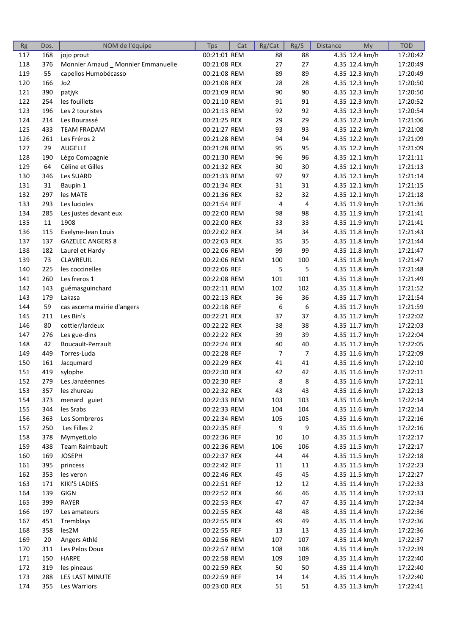| Rg  | Dos.   | NOM de l'équipe                     | <b>Tps</b>   | Cat | Rg/Cat         | Rg/S             | <b>Distance</b> | My             | <b>TOD</b> |
|-----|--------|-------------------------------------|--------------|-----|----------------|------------------|-----------------|----------------|------------|
| 117 | 168    | jojo prout                          | 00:21:01 REM |     | 88             | 88               |                 | 4.35 12.4 km/h | 17:20:42   |
| 118 | 376    | Monnier Arnaud _ Monnier Emmanuelle | 00:21:08 REX |     | 27             | 27               |                 | 4.35 12.4 km/h | 17:20:49   |
| 119 | 55     | capellos Humobécasso                | 00:21:08 REM |     | 89             | 89               |                 | 4.35 12.3 km/h | 17:20:49   |
| 120 | 166    | Jo <sub>2</sub>                     | 00:21:08 REX |     | 28             | 28               |                 | 4.35 12.3 km/h | 17:20:50   |
| 121 | 390    | patjyk                              | 00:21:09 REM |     | 90             | 90               |                 | 4.35 12.3 km/h | 17:20:50   |
| 122 | 254    | les fouillets                       | 00:21:10 REM |     | 91             | 91               |                 | 4.35 12.3 km/h | 17:20:52   |
| 123 | 196    | Les 2 touristes                     | 00:21:13 REM |     | 92             | 92               |                 | 4.35 12.3 km/h | 17:20:54   |
| 124 | 214    | Les Bourassé                        | 00:21:25 REX |     | 29             | 29               |                 | 4.35 12.2 km/h | 17:21:06   |
| 125 | 433    | <b>TEAM FRADAM</b>                  | 00:21:27 REM |     | 93             | 93               |                 | 4.35 12.2 km/h | 17:21:08   |
| 126 | 261    | Les Fréros 2                        | 00:21:28 REM |     | 94             | 94               |                 | 4.35 12.2 km/h | 17:21:09   |
| 127 | 29     | <b>AUGELLE</b>                      | 00:21:28 REM |     | 95             | 95               |                 | 4.35 12.2 km/h | 17:21:09   |
| 128 | 190    | Légo Compagnie                      | 00:21:30 REM |     | 96             | 96               |                 | 4.35 12.1 km/h | 17:21:11   |
| 129 | 64     | Céline et Gilles                    | 00:21:32 REX |     | 30             | 30               |                 | 4.35 12.1 km/h | 17:21:13   |
| 130 | 346    | Les SUARD                           | 00:21:33 REM |     | 97             | 97               |                 | 4.35 12.1 km/h | 17:21:14   |
| 131 | 31     | Baupin 1                            | 00:21:34 REX |     | 31             | 31               |                 | 4.35 12.1 km/h | 17:21:15   |
| 132 | 297    | les MATE                            | 00:21:36 REX |     | 32             | 32               |                 | 4.35 12.1 km/h | 17:21:18   |
| 133 | 293    | Les lucioles                        | 00:21:54 REF |     | 4              | 4                |                 | 4.35 11.9 km/h | 17:21:36   |
| 134 | 285    | Les justes devant eux               | 00:22:00 REM |     | 98             | 98               |                 | 4.35 11.9 km/h | 17:21:41   |
| 135 | $11\,$ | 1908                                | 00:22:00 REX |     | 33             | 33               |                 | 4.35 11.9 km/h | 17:21:41   |
| 136 | 115    | Evelyne-Jean Louis                  | 00:22:02 REX |     | 34             | 34               |                 | 4.35 11.8 km/h | 17:21:43   |
| 137 | 137    | <b>GAZELEC ANGERS 8</b>             | 00:22:03 REX |     | 35             | 35               |                 | 4.35 11.8 km/h | 17:21:44   |
| 138 | 182    | Laurel et Hardy                     | 00:22:06 REM |     | 99             | 99               |                 | 4.35 11.8 km/h | 17:21:47   |
| 139 | 73     | CLAVREUIL                           | 00:22:06 REM |     | 100            | 100              |                 | 4.35 11.8 km/h | 17:21:47   |
| 140 | 225    | les coccinelles                     | 00:22:06 REF |     | 5              | 5                |                 | 4.35 11.8 km/h | 17:21:48   |
| 141 | 260    | Les freros 1                        |              |     |                | 101              |                 |                | 17:21:49   |
|     |        |                                     | 00:22:08 REM |     | 101            | 102              |                 | 4.35 11.8 km/h | 17:21:52   |
| 142 | 143    | guémasguinchard                     | 00:22:11 REM |     | 102            |                  |                 | 4.35 11.8 km/h |            |
| 143 | 179    | Lakasa                              | 00:22:13 REX |     | 36             | 36               |                 | 4.35 11.7 km/h | 17:21:54   |
| 144 | 59     | cas ascema mairie d'angers          | 00:22:18 REF |     | 6              | $\boldsymbol{6}$ |                 | 4.35 11.7 km/h | 17:21:59   |
| 145 | 211    | Les Bin's                           | 00:22:21 REX |     | 37             | 37               |                 | 4.35 11.7 km/h | 17:22:02   |
| 146 | 80     | cottier/lardeux                     | 00:22:22 REX |     | 38             | 38               |                 | 4.35 11.7 km/h | 17:22:03   |
| 147 | 276    | Les gue-dins                        | 00:22:22 REX |     | 39             | 39               |                 | 4.35 11.7 km/h | 17:22:04   |
| 148 | 42     | Boucault-Perrault                   | 00:22:24 REX |     | 40             | 40               |                 | 4.35 11.7 km/h | 17:22:05   |
| 149 | 449    | Torres-Luda                         | 00:22:28 REF |     | $\overline{7}$ | $\overline{7}$   |                 | 4.35 11.6 km/h | 17:22:09   |
| 150 | 161    | Jacqumard                           | 00:22:29 REX |     | 41             | 41               |                 | 4.35 11.6 km/h | 17:22:10   |
| 151 | 419    | sylophe                             | 00:22:30 REX |     | 42             | 42               |                 | 4.35 11.6 km/h | 17:22:11   |
| 152 | 279    | Les Janzéennes                      | 00:22:30 REF |     | 8              | 8                |                 | 4.35 11.6 km/h | 17:22:11   |
| 153 | 357    | les zhureau                         | 00:22:32 REX |     | 43             | 43               |                 | 4.35 11.6 km/h | 17:22:13   |
| 154 | 373    | menard guiet                        | 00:22:33 REM |     | 103            | 103              |                 | 4.35 11.6 km/h | 17:22:14   |
| 155 | 344    | les Srabs                           | 00:22:33 REM |     | 104            | 104              |                 | 4.35 11.6 km/h | 17:22:14   |
| 156 | 363    | Los Sombreros                       | 00:22:34 REM |     | 105            | 105              |                 | 4.35 11.6 km/h | 17:22:16   |
| 157 | 250    | Les Filles 2                        | 00:22:35 REF |     | 9              | 9                |                 | 4.35 11.6 km/h | 17:22:16   |
| 158 | 378    | MymyetLolo                          | 00:22:36 REF |     | 10             | 10               |                 | 4.35 11.5 km/h | 17:22:17   |
| 159 | 438    | Team Raimbault                      | 00:22:36 REM |     | 106            | 106              |                 | 4.35 11.5 km/h | 17:22:17   |
| 160 | 169    | <b>JOSEPH</b>                       | 00:22:37 REX |     | 44             | 44               |                 | 4.35 11.5 km/h | 17:22:18   |
| 161 | 395    | princess                            | 00:22:42 REF |     | 11             | 11               |                 | 4.35 11.5 km/h | 17:22:23   |
| 162 | 353    | les veron                           | 00:22:46 REX |     | 45             | 45               |                 | 4.35 11.5 km/h | 17:22:27   |
| 163 | 171    | KIKI'S LADIES                       | 00:22:51 REF |     | 12             | 12               |                 | 4.35 11.4 km/h | 17:22:33   |
| 164 | 139    | GIGN                                | 00:22:52 REX |     | 46             | 46               |                 | 4.35 11.4 km/h | 17:22:33   |
| 165 | 399    | RAYER                               | 00:22:53 REX |     | 47             | 47               |                 | 4.35 11.4 km/h | 17:22:34   |
| 166 | 197    | Les amateurs                        | 00:22:55 REX |     | 48             | 48               |                 | 4.35 11.4 km/h | 17:22:36   |
| 167 | 451    | Tremblays                           | 00:22:55 REX |     | 49             | 49               |                 | 4.35 11.4 km/h | 17:22:36   |
| 168 | 358    | les2M                               | 00:22:55 REF |     | 13             | 13               |                 | 4.35 11.4 km/h | 17:22:36   |
| 169 | 20     | Angers Athlé                        | 00:22:56 REM |     | 107            | 107              |                 | 4.35 11.4 km/h | 17:22:37   |
| 170 | 311    | Les Pelos Doux                      | 00:22:57 REM |     | 108            | 108              |                 | 4.35 11.4 km/h | 17:22:39   |
| 171 | 150    | HARPE                               | 00:22:58 REM |     | 109            | 109              |                 | 4.35 11.4 km/h | 17:22:40   |
| 172 | 319    | les pineaus                         | 00:22:59 REX |     | 50             | 50               |                 | 4.35 11.4 km/h | 17:22:40   |
| 173 | 288    | LES LAST MINUTE                     | 00:22:59 REF |     | 14             | 14               |                 | 4.35 11.4 km/h | 17:22:40   |
| 174 | 355    | Les Warriors                        | 00:23:00 REX |     | 51             | 51               |                 | 4.35 11.3 km/h | 17:22:41   |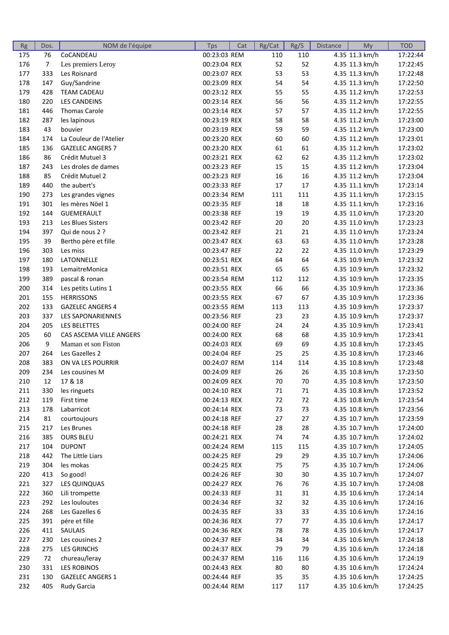| Rg  | Dos.           | NOM de l'équipe          | Tps          | Cat | Rg/Cat | Rg/S | <b>Distance</b> | My             | <b>TOD</b> |
|-----|----------------|--------------------------|--------------|-----|--------|------|-----------------|----------------|------------|
| 175 | 76             | CoCANDEAU                | 00:23:03 REM |     | 110    | 110  |                 | 4.35 11.3 km/h | 17:22:44   |
| 176 | $\overline{7}$ | Les premiers Leroy       | 00:23:04 REX |     | 52     | 52   |                 | 4.35 11.3 km/h | 17:22:45   |
| 177 | 333            | Les Roisnard             | 00:23:07 REX |     | 53     | 53   |                 | 4.35 11.3 km/h | 17:22:48   |
| 178 | 147            | Guy/Sandrine             | 00:23:09 REX |     | 54     | 54   |                 | 4.35 11.3 km/h | 17:22:50   |
| 179 | 428            | <b>TEAM CADEAU</b>       | 00:23:12 REX |     | 55     | 55   |                 | 4.35 11.2 km/h | 17:22:53   |
| 180 | 220            | <b>LES CANDEINS</b>      | 00:23:14 REX |     | 56     | 56   |                 | 4.35 11.2 km/h | 17:22:55   |
| 181 | 446            | <b>Thomas Carole</b>     | 00:23:14 REX |     | 57     | 57   |                 | 4.35 11.2 km/h | 17:22:55   |
| 182 | 287            | les lapinous             | 00:23:19 REX |     | 58     | 58   |                 | 4.35 11.2 km/h | 17:23:00   |
| 183 | 43             | bouvier                  | 00:23:19 REX |     | 59     | 59   |                 | 4.35 11.2 km/h | 17:23:00   |
| 184 | 174            | La Couleur de l'Atelier  | 00:23:20 REX |     | 60     | 60   |                 | 4.35 11.2 km/h | 17:23:01   |
| 185 | 136            | <b>GAZELEC ANGERS 7</b>  | 00:23:20 REX |     | 61     | 61   |                 | 4.35 11.2 km/h | 17:23:02   |
| 186 | 86             | Crédit Mutuel 3          | 00:23:21 REX |     | 62     | 62   |                 | 4.35 11.2 km/h | 17:23:02   |
| 187 | 243            | Les droles de dames      | 00:23:23 REF |     | 15     | 15   |                 | 4.35 11.2 km/h | 17:23:04   |
| 188 | 85             | Crédit Mutuel 2          | 00:23:23 REF |     | 16     | 16   |                 | 4.35 11.2 km/h | 17:23:04   |
| 189 | 440            | the aubert's             | 00:23:33 REF |     | $17\,$ | 17   |                 | 4.35 11.1 km/h | 17:23:14   |
| 190 | 273            | Les grandes vignes       | 00:23:34 REM |     | 111    | 111  |                 | 4.35 11.1 km/h | 17:23:15   |
| 191 | 301            | les mères Nöel 1         | 00:23:35 REF |     | 18     | 18   |                 | 4.35 11.1 km/h | 17:23:16   |
| 192 | 144            | <b>GUEMERAULT</b>        | 00:23:38 REF |     | 19     | 19   |                 | 4.35 11.0 km/h | 17:23:20   |
| 193 | 213            | Les Blues Sisters        | 00:23:42 REF |     | 20     | 20   |                 | 4.35 11.0 km/h | 17:23:23   |
| 194 | 397            | Qui de nous 2 ?          | 00:23:42 REF |     | 21     | 21   |                 | 4.35 11.0 km/h | 17:23:24   |
| 195 | 39             | Bertho père et fille     | 00:23:47 REX |     | 63     | 63   |                 | 4.35 11.0 km/h | 17:23:28   |
| 196 | 303            | Les miss                 | 00:23:47 REF |     | 22     | 22   |                 | 4.35 11.0 km/h | 17:23:29   |
| 197 | 180            | LATONNELLE               | 00:23:51 REX |     | 64     | 64   |                 | 4.35 10.9 km/h | 17:23:32   |
| 198 | 193            | LemaitreMonica           | 00:23:51 REX |     | 65     | 65   |                 | 4.35 10.9 km/h | 17:23:32   |
| 199 | 389            | pascal & ronan           | 00:23:54 REM |     | 112    | 112  |                 | 4.35 10.9 km/h | 17:23:35   |
| 200 | 314            | Les petits Lutins 1      | 00:23:55 REX |     | 66     | 66   |                 | 4.35 10.9 km/h | 17:23:36   |
| 201 | 155            | <b>HERRISSONS</b>        | 00:23:55 REX |     | 67     | 67   |                 | 4.35 10.9 km/h | 17:23:36   |
| 202 | 133            | <b>GAZELEC ANGERS 4</b>  | 00:23:55 REM |     | 113    | 113  |                 | 4.35 10.9 km/h | 17:23:37   |
| 203 | 337            | <b>LES SAPONARIENNES</b> | 00:23:56 REF |     | 23     | 23   |                 | 4.35 10.9 km/h | 17:23:37   |
| 204 | 205            | LES BELETTES             | 00:24:00 REF |     | 24     | 24   |                 | 4.35 10.9 km/h | 17:23:41   |
| 205 | 60             | CAS ASCEMA VILLE ANGERS  | 00:24:00 REX |     | 68     | 68   |                 | 4.35 10.9 km/h | 17:23:41   |
| 206 | 9              | Maman et son Fiston      | 00:24:03 REX |     | 69     | 69   |                 | 4.35 10.8 km/h | 17:23:45   |
| 207 | 264            | Les Gazelles 2           | 00:24:04 REF |     | 25     | 25   |                 | 4.35 10.8 km/h | 17:23:46   |
| 208 | 383            | ON VA LES POURRIR        | 00:24:07 REM |     | 114    | 114  |                 | 4.35 10.8 km/h | 17:23:48   |
| 209 | 234            | Les cousines M           | 00:24:09 REF |     | 26     | 26   |                 | 4.35 10.8 km/h | 17:23:50   |
| 210 | 12             | 17 & 18                  | 00:24:09 REX |     | 70     | 70   |                 | 4.35 10.8 km/h | 17:23:50   |
| 211 | 330            | les ringuets             | 00:24:10 REX |     | 71     | 71   |                 | 4.35 10.8 km/h | 17:23:52   |
| 212 | 119            | First time               | 00:24:13 REX |     | 72     | 72   |                 | 4.35 10.8 km/h | 17:23:54   |
| 213 | 178            | Labarricot               | 00:24:14 REX |     | 73     | 73   |                 | 4.35 10.8 km/h | 17:23:56   |
| 214 | 81             | courtoujours             | 00:24:18 REF |     | 27     | 27   |                 | 4.35 10.7 km/h | 17:23:59   |
| 215 | 217            | Les Brunes               | 00:24:18 REF |     | 28     | 28   |                 | 4.35 10.7 km/h | 17:24:00   |
| 216 | 385            | <b>OURS BLEU</b>         | 00:24:21 REX |     | 74     | 74   |                 | 4.35 10.7 km/h | 17:24:02   |
| 217 | 104            | <b>DUPONT</b>            | 00:24:24 REM |     | 115    | 115  |                 | 4.35 10.7 km/h | 17:24:05   |
|     |                | The Little Liars         |              |     |        | 29   |                 | 4.35 10.7 km/h |            |
| 218 | 442            |                          | 00:24:25 REF |     | 29     | 75   |                 | 4.35 10.7 km/h | 17:24:06   |
| 219 | 304            | les mokas                | 00:24:25 REX |     | 75     |      |                 |                | 17:24:06   |
| 220 | 413            | So good!                 | 00:24:26 REF |     | 30     | 30   |                 | 4.35 10.7 km/h | 17:24:07   |
| 221 | 327            | LES QUINQUAS             | 00:24:27 REX |     | 76     | 76   |                 | 4.35 10.7 km/h | 17:24:08   |
| 222 | 360            | Lili trompette           | 00:24:33 REF |     | 31     | 31   |                 | 4.35 10.6 km/h | 17:24:14   |
| 223 | 292            | Les louloutes            | 00:24:34 REF |     | 32     | 32   |                 | 4.35 10.6 km/h | 17:24:16   |
| 224 | 268            | Les Gazelles 6           | 00:24:35 REF |     | 33     | 33   |                 | 4.35 10.6 km/h | 17:24:16   |
| 225 | 391            | pére et fille            | 00:24:36 REX |     | 77     | 77   |                 | 4.35 10.6 km/h | 17:24:17   |
| 226 | 411            | SAULAIS                  | 00:24:36 REX |     | 78     | 78   |                 | 4.35 10.6 km/h | 17:24:17   |
| 227 | 230            | Les cousines 2           | 00:24:37 REF |     | 34     | 34   |                 | 4.35 10.6 km/h | 17:24:18   |
| 228 | 275            | <b>LES GRINCHS</b>       | 00:24:37 REX |     | 79     | 79   |                 | 4.35 10.6 km/h | 17:24:18   |
| 229 | 72             | chureau/leray            | 00:24:37 REM |     | 116    | 116  |                 | 4.35 10.6 km/h | 17:24:19   |
| 230 | 331            | <b>LES ROBINOS</b>       | 00:24:43 REX |     | 80     | 80   |                 | 4.35 10.6 km/h | 17:24:24   |
| 231 | 130            | <b>GAZELEC ANGERS 1</b>  | 00:24:44 REF |     | 35     | 35   |                 | 4.35 10.6 km/h | 17:24:25   |
| 232 | 405            | Rudy Garcia              | 00:24:44 REM |     | 117    | 117  |                 | 4.35 10.6 km/h | 17:24:25   |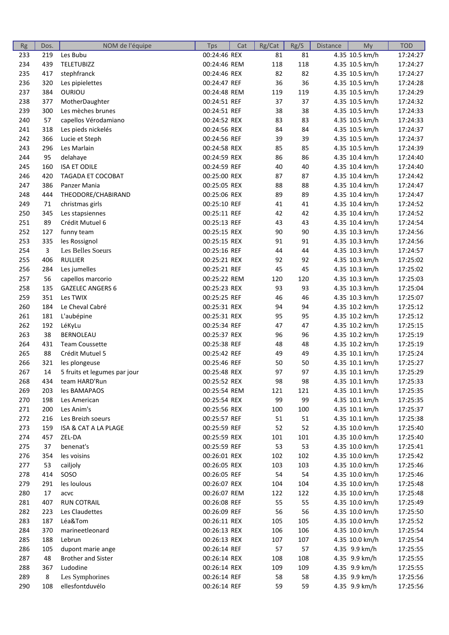| <b>Rg</b> | Dos. | NOM de l'équipe              | <b>Tps</b>   | Cat | Rg/Cat | Rg/S | <b>Distance</b> | My             | <b>TOD</b> |
|-----------|------|------------------------------|--------------|-----|--------|------|-----------------|----------------|------------|
| 233       | 219  | Les Bubu                     | 00:24:46 REX |     | 81     | 81   |                 | 4.35 10.5 km/h | 17:24:27   |
| 234       | 439  | <b>TELETUBIZZ</b>            | 00:24:46 REM |     | 118    | 118  |                 | 4.35 10.5 km/h | 17:24:27   |
| 235       | 417  | stephfranck                  | 00:24:46 REX |     | 82     | 82   |                 | 4.35 10.5 km/h | 17:24:27   |
| 236       | 320  | Les pipielettes              | 00:24:47 REF |     | 36     | 36   |                 | 4.35 10.5 km/h | 17:24:28   |
| 237       | 384  | OURIOU                       | 00:24:48 REM |     | 119    | 119  |                 | 4.35 10.5 km/h | 17:24:29   |
| 238       | 377  | MotherDaughter               | 00:24:51 REF |     | 37     | 37   |                 | 4.35 10.5 km/h | 17:24:32   |
| 239       | 300  | Les mèches brunes            | 00:24:51 REF |     | 38     | 38   |                 | 4.35 10.5 km/h | 17:24:33   |
| 240       | 57   | capellos Vérodamiano         | 00:24:52 REX |     | 83     | 83   |                 | 4.35 10.5 km/h | 17:24:33   |
| 241       | 318  | Les pieds nickelés           | 00:24:56 REX |     | 84     | 84   |                 | 4.35 10.5 km/h | 17:24:37   |
| 242       | 366  | Lucie et Steph               | 00:24:56 REF |     | 39     | 39   |                 | 4.35 10.5 km/h | 17:24:37   |
| 243       | 296  | Les Marlain                  | 00:24:58 REX |     | 85     | 85   |                 | 4.35 10.5 km/h | 17:24:39   |
| 244       | 95   | delahaye                     | 00:24:59 REX |     | 86     | 86   |                 | 4.35 10.4 km/h | 17:24:40   |
| 245       | 160  | <b>ISA ET ODILE</b>          | 00:24:59 REF |     | 40     | 40   |                 | 4.35 10.4 km/h | 17:24:40   |
| 246       | 420  | TAGADA ET COCOBAT            | 00:25:00 REX |     | 87     | 87   |                 | 4.35 10.4 km/h | 17:24:42   |
| 247       | 386  | Panzer Mania                 | 00:25:05 REX |     | 88     | 88   |                 | 4.35 10.4 km/h | 17:24:47   |
| 248       | 444  | THEODORE/CHABIRAND           | 00:25:06 REX |     | 89     | 89   |                 | 4.35 10.4 km/h | 17:24:47   |
| 249       | 71   | christmas girls              | 00:25:10 REF |     | 41     | 41   |                 | 4.35 10.4 km/h | 17:24:52   |
| 250       | 345  | Les stapsiennes              | 00:25:11 REF |     | 42     | 42   |                 | 4.35 10.4 km/h | 17:24:52   |
| 251       | 89   | Crédit Mutuel 6              | 00:25:13 REF |     | 43     | 43   |                 | 4.35 10.4 km/h | 17:24:54   |
| 252       | 127  | funny team                   | 00:25:15 REX |     | 90     | 90   |                 | 4.35 10.3 km/h | 17:24:56   |
| 253       | 335  | les Rossignol                | 00:25:15 REX |     | 91     | 91   |                 | 4.35 10.3 km/h | 17:24:56   |
| 254       | 3    | Les Belles Soeurs            | 00:25:16 REF |     | 44     | 44   |                 | 4.35 10.3 km/h | 17:24:57   |
| 255       | 406  | <b>RULLIER</b>               | 00:25:21 REX |     | 92     | 92   |                 | 4.35 10.3 km/h | 17:25:02   |
| 256       | 284  | Les jumelles                 | 00:25:21 REF |     | 45     | 45   |                 | 4.35 10.3 km/h | 17:25:02   |
| 257       | 56   | capellos marcorio            | 00:25:22 REM |     | 120    | 120  |                 | 4.35 10.3 km/h | 17:25:03   |
| 258       | 135  | <b>GAZELEC ANGERS 6</b>      | 00:25:23 REX |     | 93     | 93   |                 | 4.35 10.3 km/h | 17:25:04   |
| 259       | 351  | Les TWIX                     | 00:25:25 REF |     | 46     | 46   |                 | 4.35 10.3 km/h | 17:25:07   |
| 260       | 184  | Le Cheval Cabré              | 00:25:31 REX |     | 94     | 94   |                 | 4.35 10.2 km/h | 17:25:12   |
| 261       | 181  | L'aubépine                   | 00:25:31 REX |     | 95     | 95   |                 | 4.35 10.2 km/h | 17:25:12   |
| 262       | 192  | LéKyLu                       | 00:25:34 REF |     | 47     | 47   |                 | 4.35 10.2 km/h | 17:25:15   |
| 263       | 38   | BERNOLEAU                    | 00:25:37 REX |     | 96     | 96   |                 | 4.35 10.2 km/h | 17:25:19   |
| 264       | 431  | <b>Team Coussette</b>        | 00:25:38 REF |     | 48     | 48   |                 | 4.35 10.2 km/h | 17:25:19   |
| 265       | 88   | Crédit Mutuel 5              | 00:25:42 REF |     | 49     | 49   |                 | 4.35 10.1 km/h | 17:25:24   |
| 266       | 321  | les plongeuse                | 00:25:46 REF |     | 50     | 50   |                 | 4.35 10.1 km/h | 17:25:27   |
| 267       | 14   | 5 fruits et legumes par jour | 00:25:48 REX |     | 97     | 97   |                 | 4.35 10.1 km/h | 17:25:29   |
| 268       | 434  | team HARD'Run                | 00:25:52 REX |     | 98     | 98   |                 | 4.35 10.1 km/h | 17:25:33   |
| 269       | 203  | les BAMAPAOS                 | 00:25:54 REM |     | 121    | 121  |                 | 4.35 10.1 km/h | 17:25:35   |
| 270       | 198  | Les American                 | 00:25:54 REX |     | 99     | 99   |                 | 4.35 10.1 km/h | 17:25:35   |
| 271       | 200  | Les Anim's                   | 00:25:56 REX |     | 100    | 100  |                 | 4.35 10.1 km/h | 17:25:37   |
| 272       | 216  | Les Breizh soeurs            | 00:25:57 REF |     | 51     | 51   |                 | 4.35 10.1 km/h | 17:25:38   |
| 273       | 159  | ISA & CAT A LA PLAGE         | 00:25:59 REF |     | 52     | 52   |                 | 4.35 10.0 km/h | 17:25:40   |
| 274       | 457  | ZEL-DA                       | 00:25:59 REX |     | 101    | 101  |                 | 4.35 10.0 km/h | 17:25:40   |
| 275       | 37   | benenat's                    | 00:25:59 REF |     | 53     | 53   |                 | 4.35 10.0 km/h | 17:25:41   |
| 276       | 354  | les voisins                  | 00:26:01 REX |     | 102    | 102  |                 | 4.35 10.0 km/h | 17:25:42   |
| 277       | 53   | cailjoly                     | 00:26:05 REX |     | 103    | 103  |                 | 4.35 10.0 km/h | 17:25:46   |
| 278       | 414  | SOSO                         | 00:26:05 REF |     | 54     | 54   |                 | 4.35 10.0 km/h | 17:25:46   |
| 279       | 291  | les loulous                  | 00:26:07 REX |     | 104    | 104  |                 | 4.35 10.0 km/h | 17:25:48   |
| 280       | 17   | acvc                         | 00:26:07 REM |     | 122    | 122  |                 | 4.35 10.0 km/h | 17:25:48   |
| 281       | 407  | <b>RUN COTRAIL</b>           | 00:26:08 REF |     | 55     | 55   |                 | 4.35 10.0 km/h | 17:25:49   |
| 282       | 223  | Les Claudettes               | 00:26:09 REF |     | 56     | 56   |                 | 4.35 10.0 km/h | 17:25:50   |
| 283       | 187  | Léa&Tom                      | 00:26:11 REX |     | 105    | 105  |                 | 4.35 10.0 km/h | 17:25:52   |
| 284       | 370  | marineetleonard              | 00:26:13 REX |     | 106    | 106  |                 | 4.35 10.0 km/h | 17:25:54   |
| 285       | 188  | Lebrun                       | 00:26:13 REX |     | 107    | 107  |                 | 4.35 10.0 km/h | 17:25:54   |
| 286       | 105  | dupont marie ange            | 00:26:14 REF |     | 57     | 57   |                 | 4.35 9.9 km/h  | 17:25:55   |
| 287       | 48   | <b>Brother and Sister</b>    | 00:26:14 REX |     | 108    | 108  |                 | 4.35 9.9 km/h  | 17:25:55   |
| 288       | 367  | Ludodine                     | 00:26:14 REX |     | 109    | 109  |                 | 4.35 9.9 km/h  | 17:25:55   |
| 289       | 8    | Les Symphorines              | 00:26:14 REF |     | 58     | 58   |                 | 4.35 9.9 km/h  | 17:25:56   |
| 290       | 108  | ellesfontduvélo              | 00:26:14 REF |     | 59     | 59   |                 | 4.35 9.9 km/h  | 17:25:56   |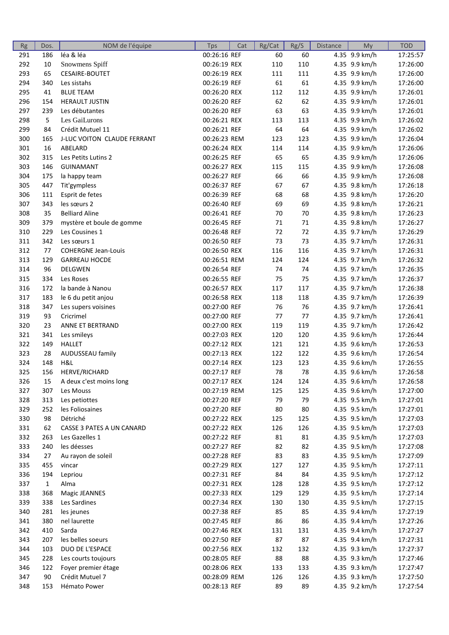| Rg  | Dos.         | NOM de l'équipe               | <b>Tps</b>                   | Cat | Rg/Cat | Rg/S      | <b>Distance</b> | My                             | <b>TOD</b> |
|-----|--------------|-------------------------------|------------------------------|-----|--------|-----------|-----------------|--------------------------------|------------|
| 291 | 186          | léa & léa                     | 00:26:16 REF                 |     | 60     | 60        |                 | 4.35 9.9 km/h                  | 17:25:57   |
| 292 | 10           | Snowmens Spiff                | 00:26:19 REX                 |     | 110    | 110       |                 | 4.35 9.9 km/h                  | 17:26:00   |
| 293 | 65           | <b>CESAIRE-BOUTET</b>         | 00:26:19 REX                 |     | 111    | 111       |                 | 4.35 9.9 km/h                  | 17:26:00   |
| 294 | 340          | Les sistahs                   | 00:26:19 REF                 |     | 61     | 61        |                 | 4.35 9.9 km/h                  | 17:26:00   |
| 295 | 41           | <b>BLUE TEAM</b>              | 00:26:20 REX                 |     | 112    | 112       |                 | 4.35 9.9 km/h                  | 17:26:01   |
| 296 | 154          | <b>HERAULT JUSTIN</b>         | 00:26:20 REF                 |     | 62     | 62        |                 | 4.35 9.9 km/h                  | 17:26:01   |
| 297 | 239          | Les débutantes                | 00:26:20 REF                 |     | 63     | 63        |                 | 4.35 9.9 km/h                  | 17:26:01   |
| 298 | 5            | Les GaiLurons                 | 00:26:21 REX                 |     | 113    | 113       |                 | 4.35 9.9 km/h                  | 17:26:02   |
| 299 | 84           | Crédit Mutuel 11              | 00:26:21 REF                 |     | 64     | 64        |                 | 4.35 9.9 km/h                  | 17:26:02   |
| 300 | 165          | J-LUC VOITON CLAUDE FERRANT   | 00:26:23 REM                 |     | 123    | 123       |                 | 4.35 9.9 km/h                  | 17:26:04   |
| 301 | 16           | ABELARD                       | 00:26:24 REX                 |     | 114    | 114       |                 | 4.35 9.9 km/h                  | 17:26:06   |
| 302 | 315          | Les Petits Lutins 2           | 00:26:25 REF                 |     | 65     | 65        |                 | 4.35 9.9 km/h                  | 17:26:06   |
| 303 | 146          | <b>GUINAMANT</b>              | 00:26:27 REX                 |     | 115    | 115       |                 | 4.35 9.9 km/h                  | 17:26:08   |
| 304 | 175          | la happy team                 | 00:26:27 REF                 |     | 66     | 66        |                 | 4.35 9.9 km/h                  | 17:26:08   |
| 305 | 447          | Tit'gympless                  | 00:26:37 REF                 |     | 67     | 67        |                 | 4.35 9.8 km/h                  | 17:26:18   |
| 306 | 111          | Esprit de fetes               | 00:26:39 REF                 |     | 68     | 68        |                 | 4.35 9.8 km/h                  | 17:26:20   |
| 307 | 343          | les sœurs 2                   | 00:26:40 REF                 |     | 69     | 69        |                 | 4.35 9.8 km/h                  | 17:26:21   |
| 308 | 35           | <b>Belliard Aline</b>         | 00:26:41 REF                 |     | 70     | 70        |                 | 4.35 9.8 km/h                  | 17:26:23   |
| 309 | 379          | mystère et boule de gomme     | 00:26:45 REF                 |     | 71     | 71        |                 | 4.35 9.8 km/h                  | 17:26:27   |
| 310 | 229          | Les Cousines 1                | 00:26:48 REF                 |     | 72     | 72        |                 | 4.35 9.7 km/h                  | 17:26:29   |
| 311 | 342          | Les sœurs 1                   | 00:26:50 REF                 |     | 73     | 73        |                 | 4.35 9.7 km/h                  | 17:26:31   |
| 312 | 77           | <b>COHERGNE Jean-Louis</b>    | 00:26:50 REX                 |     | 116    | 116       |                 | 4.35 9.7 km/h                  | 17:26:31   |
| 313 | 129          | <b>GARREAU HOCDE</b>          | 00:26:51 REM                 |     | 124    | 124       |                 | 4.35 9.7 km/h                  | 17:26:32   |
| 314 | 96           | <b>DELGWEN</b>                | 00:26:54 REF                 |     | 74     | 74        |                 | 4.35 9.7 km/h                  | 17:26:35   |
| 315 | 334          | Les Roses                     | 00:26:55 REF                 |     | 75     | 75        |                 | 4.35 9.7 km/h                  | 17:26:37   |
| 316 | 172          | la bande à Nanou              | 00:26:57 REX                 |     | 117    | 117       |                 | 4.35 9.7 km/h                  | 17:26:38   |
| 317 | 183          | le 6 du petit anjou           | 00:26:58 REX                 |     | 118    | 118       |                 | 4.35 9.7 km/h                  | 17:26:39   |
| 318 | 347          | Les supers voisines           | 00:27:00 REF                 |     | 76     | 76        |                 | 4.35 9.7 km/h                  | 17:26:41   |
| 319 | 93           | Cricrimel                     | 00:27:00 REF                 |     | 77     | 77        |                 | 4.35 9.7 km/h                  | 17:26:41   |
| 320 | 23           | ANNE ET BERTRAND              | 00:27:00 REX                 |     | 119    | 119       |                 | 4.35 9.7 km/h                  | 17:26:42   |
| 321 | 341          | Les smileys                   | 00:27:03 REX                 |     | 120    | 120       |                 | 4.35 9.6 km/h                  | 17:26:44   |
| 322 | 149          | <b>HALLET</b>                 | 00:27:12 REX                 |     | 121    | 121       |                 | 4.35 9.6 km/h                  | 17:26:53   |
| 323 | 28           | AUDUSSEAU family              | 00:27:13 REX                 |     | 122    | 122       |                 | 4.35 9.6 km/h                  | 17:26:54   |
| 324 | 148          | H&L                           | 00:27:14 REX                 |     | 123    | 123       |                 | 4.35 9.6 km/h                  | 17:26:55   |
| 325 | 156          | HERVE/RICHARD                 | 00:27:17 REF                 |     | 78     | 78        |                 | 4.35 9.6 km/h                  | 17:26:58   |
| 326 | 15           | A deux c'est moins long       | 00:27:17 REX                 |     | 124    | 124       |                 | 4.35 9.6 km/h                  | 17:26:58   |
| 327 | 307          | Les Mouss                     | 00:27:19 REM                 |     | 125    | 125       |                 | 4.35 9.6 km/h                  | 17:27:00   |
| 328 | 313          | Les petiottes                 | 00:27:20 REF                 |     | 79     | 79        |                 | 4.35 9.5 km/h                  | 17:27:01   |
| 329 | 252          | les Foliosaines               | 00:27:20 REF                 |     | 80     | 80        |                 | 4.35 9.5 km/h                  | 17:27:01   |
|     | 98           | Détriché                      |                              |     |        |           |                 |                                |            |
| 330 |              | CASSE 3 PATES A UN CANARD     | 00:27:22 REX                 |     | 125    | 125       |                 | 4.35 9.5 km/h                  | 17:27:03   |
| 331 | 62           |                               | 00:27:22 REX                 |     | 126    | 126<br>81 |                 | 4.35 9.5 km/h<br>4.35 9.5 km/h | 17:27:03   |
| 332 | 263          | Les Gazelles 1<br>les déesses | 00:27:22 REF<br>00:27:27 REF |     | 81     |           |                 | 4.35 9.5 km/h                  | 17:27:03   |
| 333 | 240          |                               |                              |     | 82     | 82        |                 |                                | 17:27:08   |
| 334 | 27           | Au rayon de soleil            | 00:27:28 REF                 |     | 83     | 83        |                 | 4.35 9.5 km/h                  | 17:27:09   |
| 335 | 455          | vincar                        | 00:27:29 REX                 |     | 127    | 127       |                 | 4.35 9.5 km/h                  | 17:27:11   |
| 336 | 194          | Lepriou                       | 00:27:31 REF                 |     | 84     | 84        |                 | 4.35 9.5 km/h                  | 17:27:12   |
| 337 | $\mathbf{1}$ | Alma                          | 00:27:31 REX                 |     | 128    | 128       |                 | 4.35 9.5 km/h                  | 17:27:12   |
| 338 | 368          | Magic JEANNES                 | 00:27:33 REX                 |     | 129    | 129       |                 | 4.35 9.5 km/h                  | 17:27:14   |
| 339 | 338          | Les Sardines                  | 00:27:34 REX                 |     | 130    | 130       |                 | 4.35 9.5 km/h                  | 17:27:15   |
| 340 | 281          | les jeunes                    | 00:27:38 REF                 |     | 85     | 85        |                 | 4.35 9.4 km/h                  | 17:27:19   |
| 341 | 380          | nel laurette                  | 00:27:45 REF                 |     | 86     | 86        |                 | 4.35 9.4 km/h                  | 17:27:26   |
| 342 | 410          | Sarda                         | 00:27:46 REX                 |     | 131    | 131       |                 | 4.35 9.4 km/h                  | 17:27:27   |
| 343 | 207          | les belles soeurs             | 00:27:50 REF                 |     | 87     | 87        |                 | 4.35 9.4 km/h                  | 17:27:31   |
| 344 | 103          | DUO DE L'ESPACE               | 00:27:56 REX                 |     | 132    | 132       |                 | 4.35 9.3 km/h                  | 17:27:37   |
| 345 | 228          | Les courts toujours           | 00:28:05 REF                 |     | 88     | 88        |                 | 4.35 9.3 km/h                  | 17:27:46   |
| 346 | 122          | Foyer premier étage           | 00:28:06 REX                 |     | 133    | 133       |                 | 4.35 9.3 km/h                  | 17:27:47   |
| 347 | 90           | Crédit Mutuel 7               | 00:28:09 REM                 |     | 126    | 126       |                 | 4.35 9.3 km/h                  | 17:27:50   |
| 348 | 153          | Hémato Power                  | 00:28:13 REF                 |     | 89     | 89        |                 | 4.35 9.2 km/h                  | 17:27:54   |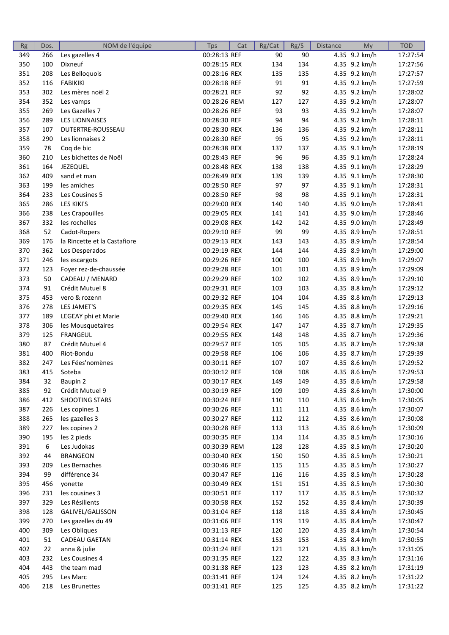| Rg  | Dos. | NOM de l'équipe              | <b>Tps</b>   | Cat | Rg/Cat | Rg/S | <b>Distance</b> | My            | <b>TOD</b> |
|-----|------|------------------------------|--------------|-----|--------|------|-----------------|---------------|------------|
| 349 | 266  | Les gazelles 4               | 00:28:13 REF |     | 90     | 90   |                 | 4.35 9.2 km/h | 17:27:54   |
| 350 | 100  | Dixneuf                      | 00:28:15 REX |     | 134    | 134  |                 | 4.35 9.2 km/h | 17:27:56   |
| 351 | 208  | Les Belloquois               | 00:28:16 REX |     | 135    | 135  |                 | 4.35 9.2 km/h | 17:27:57   |
| 352 | 116  | <b>FABIKIKI</b>              | 00:28:18 REF |     | 91     | 91   |                 | 4.35 9.2 km/h | 17:27:59   |
| 353 | 302  | Les mères noël 2             | 00:28:21 REF |     | 92     | 92   |                 | 4.35 9.2 km/h | 17:28:02   |
| 354 | 352  | Les vamps                    | 00:28:26 REM |     | 127    | 127  |                 | 4.35 9.2 km/h | 17:28:07   |
| 355 | 269  | Les Gazelles 7               | 00:28:26 REF |     | 93     | 93   |                 | 4.35 9.2 km/h | 17:28:07   |
| 356 | 289  | <b>LES LIONNAISES</b>        | 00:28:30 REF |     | 94     | 94   |                 | 4.35 9.2 km/h | 17:28:11   |
| 357 | 107  | DUTERTRE-ROUSSEAU            | 00:28:30 REX |     | 136    | 136  |                 | 4.35 9.2 km/h | 17:28:11   |
| 358 | 290  | Les lionnaises 2             | 00:28:30 REF |     | 95     | 95   |                 | 4.35 9.2 km/h | 17:28:11   |
| 359 | 78   | Coq de bic                   | 00:28:38 REX |     | 137    | 137  |                 | 4.35 9.1 km/h | 17:28:19   |
| 360 | 210  | Les bichettes de Noël        | 00:28:43 REF |     | 96     | 96   |                 | 4.35 9.1 km/h | 17:28:24   |
| 361 | 164  | JEZEQUEL                     | 00:28:48 REX |     | 138    | 138  |                 | 4.35 9.1 km/h | 17:28:29   |
| 362 | 409  | sand et man                  | 00:28:49 REX |     | 139    | 139  |                 | 4.35 9.1 km/h | 17:28:30   |
| 363 | 199  | les amiches                  | 00:28:50 REF |     | 97     | 97   |                 | 4.35 9.1 km/h | 17:28:31   |
| 364 | 233  | Les Cousines 5               | 00:28:50 REF |     | 98     | 98   |                 | 4.35 9.1 km/h | 17:28:31   |
| 365 | 286  | LES KIKI'S                   | 00:29:00 REX |     | 140    | 140  |                 | 4.35 9.0 km/h | 17:28:41   |
| 366 | 238  | Les Crapouilles              | 00:29:05 REX |     | 141    | 141  |                 | 4.35 9.0 km/h | 17:28:46   |
| 367 | 332  | les rochelles                | 00:29:08 REX |     | 142    | 142  |                 | 4.35 9.0 km/h | 17:28:49   |
| 368 | 52   | Cadot-Ropers                 | 00:29:10 REF |     | 99     | 99   |                 | 4.35 8.9 km/h | 17:28:51   |
| 369 | 176  | la Rincette et la Castafiore | 00:29:13 REX |     | 143    | 143  |                 | 4.35 8.9 km/h | 17:28:54   |
|     |      | Los Desperados               |              |     |        | 144  |                 | 4.35 8.9 km/h | 17:29:00   |
| 370 | 362  |                              | 00:29:19 REX |     | 144    |      |                 |               |            |
| 371 | 246  | les escargots                | 00:29:26 REF |     | 100    | 100  |                 | 4.35 8.9 km/h | 17:29:07   |
| 372 | 123  | Foyer rez-de-chaussée        | 00:29:28 REF |     | 101    | 101  |                 | 4.35 8.9 km/h | 17:29:09   |
| 373 | 50   | CADEAU / MENARD              | 00:29:29 REF |     | 102    | 102  |                 | 4.35 8.9 km/h | 17:29:10   |
| 374 | 91   | Crédit Mutuel 8              | 00:29:31 REF |     | 103    | 103  |                 | 4.35 8.8 km/h | 17:29:12   |
| 375 | 453  | vero & rozenn                | 00:29:32 REF |     | 104    | 104  |                 | 4.35 8.8 km/h | 17:29:13   |
| 376 | 278  | LES JAMET'S                  | 00:29:35 REX |     | 145    | 145  |                 | 4.35 8.8 km/h | 17:29:16   |
| 377 | 189  | LEGEAY phi et Marie          | 00:29:40 REX |     | 146    | 146  |                 | 4.35 8.8 km/h | 17:29:21   |
| 378 | 306  | les Mousquetaires            | 00:29:54 REX |     | 147    | 147  |                 | 4.35 8.7 km/h | 17:29:35   |
| 379 | 125  | <b>FRANGEUL</b>              | 00:29:55 REX |     | 148    | 148  |                 | 4.35 8.7 km/h | 17:29:36   |
| 380 | 87   | Crédit Mutuel 4              | 00:29:57 REF |     | 105    | 105  |                 | 4.35 8.7 km/h | 17:29:38   |
| 381 | 400  | Riot-Bondu                   | 00:29:58 REF |     | 106    | 106  |                 | 4.35 8.7 km/h | 17:29:39   |
| 382 | 247  | Les Fées'nomènes             | 00:30:11 REF |     | 107    | 107  |                 | 4.35 8.6 km/h | 17:29:52   |
| 383 | 415  | Soteba                       | 00:30:12 REF |     | 108    | 108  |                 | 4.35 8.6 km/h | 17:29:53   |
| 384 | 32   | Baupin 2                     | 00:30:17 REX |     | 149    | 149  |                 | 4.35 8.6 km/h | 17:29:58   |
| 385 | 92   | Crédit Mutuel 9              | 00:30:19 REF |     | 109    | 109  |                 | 4.35 8.6 km/h | 17:30:00   |
| 386 | 412  | <b>SHOOTING STARS</b>        | 00:30:24 REF |     | 110    | 110  |                 | 4.35 8.6 km/h | 17:30:05   |
| 387 | 226  | Les copines 1                | 00:30:26 REF |     | 111    | 111  |                 | 4.35 8.6 km/h | 17:30:07   |
| 388 | 265  | les gazelles 3               | 00:30:27 REF |     | 112    | 112  |                 | 4.35 8.6 km/h | 17:30:08   |
| 389 | 227  | les copines 2                | 00:30:28 REF |     | 113    | 113  |                 | 4.35 8.6 km/h | 17:30:09   |
| 390 | 195  | les 2 pieds                  | 00:30:35 REF |     | 114    | 114  |                 | 4.35 8.5 km/h | 17:30:16   |
| 391 | 6    | Les Judokas                  | 00:30:39 REM |     | 128    | 128  |                 | 4.35 8.5 km/h | 17:30:20   |
| 392 | 44   | <b>BRANGEON</b>              | 00:30:40 REX |     | 150    | 150  |                 | 4.35 8.5 km/h | 17:30:21   |
| 393 | 209  | Les Bernaches                | 00:30:46 REF |     | 115    | 115  |                 | 4.35 8.5 km/h | 17:30:27   |
| 394 | 99   | différence 34                | 00:30:47 REF |     | 116    | 116  |                 | 4.35 8.5 km/h | 17:30:28   |
| 395 | 456  | yonette                      | 00:30:49 REX |     | 151    | 151  |                 | 4.35 8.5 km/h | 17:30:30   |
| 396 | 231  | les cousines 3               | 00:30:51 REF |     | 117    | 117  |                 | 4.35 8.5 km/h | 17:30:32   |
| 397 | 329  | Les Résilients               | 00:30:58 REX |     | 152    | 152  |                 | 4.35 8.4 km/h | 17:30:39   |
|     |      |                              |              |     |        |      |                 |               |            |
| 398 | 128  | GALIVEL/GALISSON             | 00:31:04 REF |     | 118    | 118  |                 | 4.35 8.4 km/h | 17:30:45   |
| 399 | 270  | Les gazelles du 49           | 00:31:06 REF |     | 119    | 119  |                 | 4.35 8.4 km/h | 17:30:47   |
| 400 | 309  | Les Obliques                 | 00:31:13 REF |     | 120    | 120  |                 | 4.35 8.4 km/h | 17:30:54   |
| 401 | 51   | CADEAU GAETAN                | 00:31:14 REX |     | 153    | 153  |                 | 4.35 8.4 km/h | 17:30:55   |
| 402 | 22   | anna & julie                 | 00:31:24 REF |     | 121    | 121  |                 | 4.35 8.3 km/h | 17:31:05   |
| 403 | 232  | Les Cousines 4               | 00:31:35 REF |     | 122    | 122  |                 | 4.35 8.3 km/h | 17:31:16   |
| 404 | 443  | the team mad                 | 00:31:38 REF |     | 123    | 123  |                 | 4.35 8.2 km/h | 17:31:19   |
| 405 | 295  | Les Marc                     | 00:31:41 REF |     | 124    | 124  |                 | 4.35 8.2 km/h | 17:31:22   |
| 406 | 218  | Les Brunettes                | 00:31:41 REF |     | 125    | 125  |                 | 4.35 8.2 km/h | 17:31:22   |